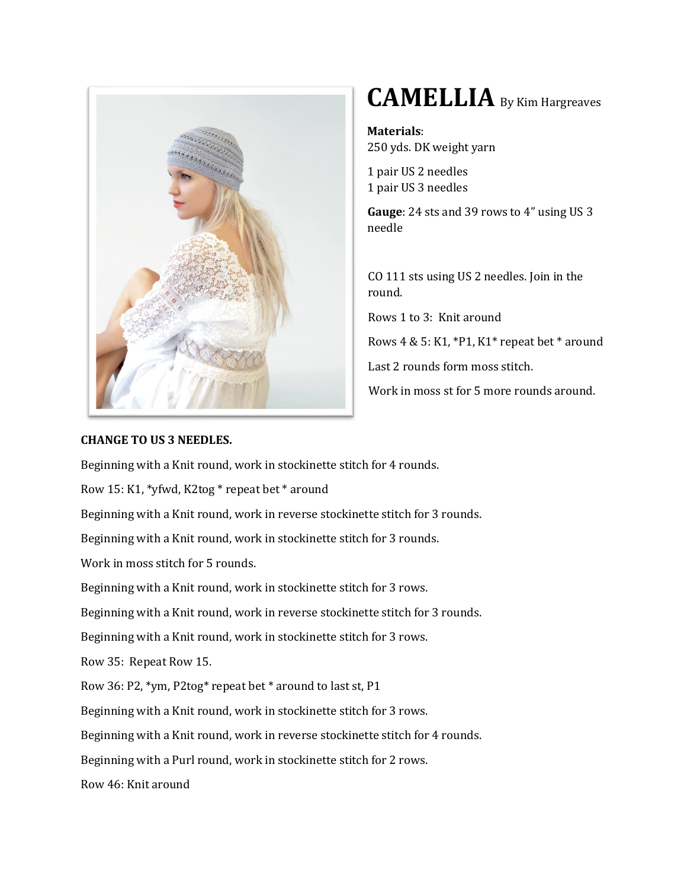

## **CAMELLIA** By Kim Hargreaves

**Materials**: 250 yds. DK weight yarn

1 pair US 2 needles 1 pair US 3 needles

**Gauge**: 24 sts and 39 rows to 4" using US 3 needle

CO 111 sts using US 2 needles. Join in the round.

Rows 1 to 3: Knit around

Rows  $4 \& 5$ : K1, \*P1, K1\* repeat bet \* around

Last 2 rounds form moss stitch.

Work in moss st for 5 more rounds around.

## **CHANGE TO US 3 NEEDLES.**

Beginning with a Knit round, work in stockinette stitch for 4 rounds.

Row 15: K1, \*yfwd, K2tog \* repeat bet \* around

Beginning with a Knit round, work in reverse stockinette stitch for 3 rounds.

Beginning with a Knit round, work in stockinette stitch for 3 rounds.

Work in moss stitch for 5 rounds.

Beginning with a Knit round, work in stockinette stitch for 3 rows.

Beginning with a Knit round, work in reverse stockinette stitch for 3 rounds.

Beginning with a Knit round, work in stockinette stitch for 3 rows.

Row 35: Repeat Row 15.

Row 36: P2, \*ym, P2tog\* repeat bet \* around to last st, P1

Beginning with a Knit round, work in stockinette stitch for 3 rows.

Beginning with a Knit round, work in reverse stockinette stitch for 4 rounds.

Beginning with a Purl round, work in stockinette stitch for 2 rows.

Row 46: Knit around